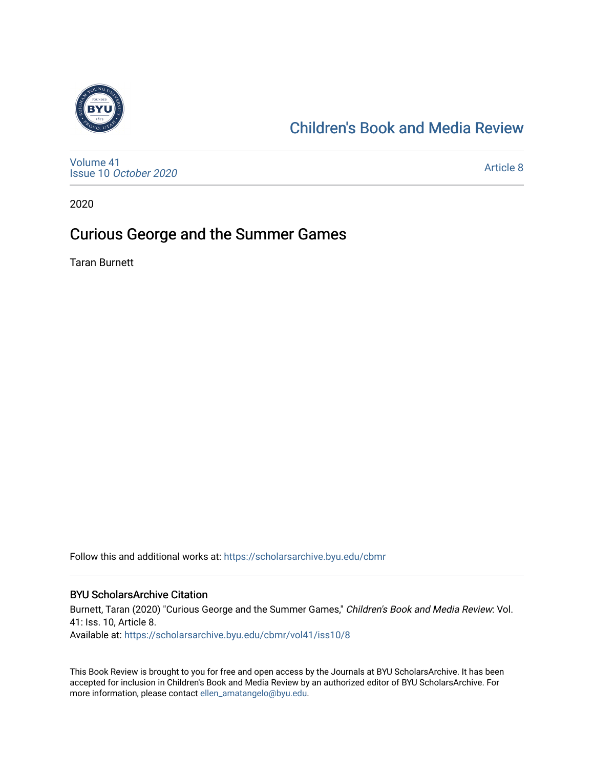

## [Children's Book and Media Review](https://scholarsarchive.byu.edu/cbmr)

[Volume 41](https://scholarsarchive.byu.edu/cbmr/vol41) Issue 10 [October 2020](https://scholarsarchive.byu.edu/cbmr/vol41/iss10)

[Article 8](https://scholarsarchive.byu.edu/cbmr/vol41/iss10/8) 

2020

## Curious George and the Summer Games

Taran Burnett

Follow this and additional works at: [https://scholarsarchive.byu.edu/cbmr](https://scholarsarchive.byu.edu/cbmr?utm_source=scholarsarchive.byu.edu%2Fcbmr%2Fvol41%2Fiss10%2F8&utm_medium=PDF&utm_campaign=PDFCoverPages) 

#### BYU ScholarsArchive Citation

Burnett, Taran (2020) "Curious George and the Summer Games," Children's Book and Media Review: Vol. 41: Iss. 10, Article 8. Available at: [https://scholarsarchive.byu.edu/cbmr/vol41/iss10/8](https://scholarsarchive.byu.edu/cbmr/vol41/iss10/8?utm_source=scholarsarchive.byu.edu%2Fcbmr%2Fvol41%2Fiss10%2F8&utm_medium=PDF&utm_campaign=PDFCoverPages)

This Book Review is brought to you for free and open access by the Journals at BYU ScholarsArchive. It has been accepted for inclusion in Children's Book and Media Review by an authorized editor of BYU ScholarsArchive. For more information, please contact [ellen\\_amatangelo@byu.edu.](mailto:ellen_amatangelo@byu.edu)